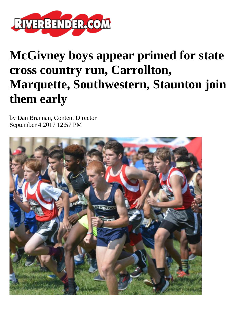

## **McGivney boys appear primed for state cross country run, Carrollton, Marquette, Southwestern, Staunton join them early**

by Dan Brannan, Content Director September 4 2017 12:57 PM

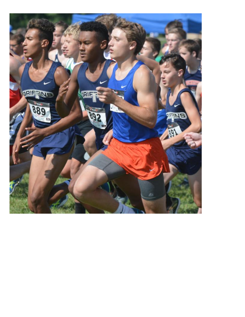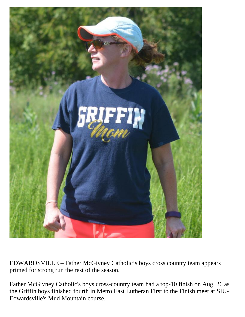

EDWARDSVILLE – Father McGivney Catholic's boys cross country team appears primed for strong run the rest of the season.

Father McGivney Catholic's boys cross-country team had a top-10 finish on Aug. 26 as the Griffin boys finished fourth in Metro East Lutheran First to the Finish meet at SIU-Edwardsville's Mud Mountain course.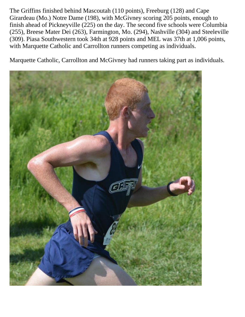The Griffins finished behind Mascoutah (110 points), Freeburg (128) and Cape Girardeau (Mo.) Notre Dame (198), with McGivney scoring 205 points, enough to finish ahead of Pickneyville (225) on the day. The second five schools were Columbia (255), Breese Mater Dei (263), Farmington, Mo. (294), Nashville (304) and Steeleville (309). Piasa Southwestern took 34th at 928 points and MEL was 37th at 1,006 points, with Marquette Catholic and Carrollton runners competing as individuals.

Marquette Catholic, Carrollton and McGivney had runners taking part as individuals.

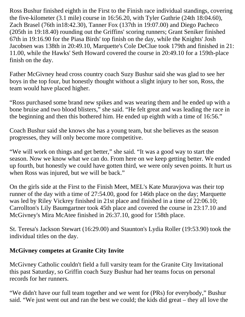Ross Bushur finished eighth in the First to the Finish race individual standings, covering the five-kilometer (3.1 mile) course in 16:56.20, with Tyler Guthrie (24th 18:04.60), Zach Brasel (76th in18:42.30), Tanner Fox (137th in 19:07.00) and Diego Pacheco (205th in 19:18.40) rounding out the Griffins' scoring runners; Grant Seniker finished 67th in 19:16.90 for the Piasa Birds' top finish on the day, while the Knights' Josh Jacobsen was 138th in 20:49.10, Marquette's Cole DeClue took 179th and finished in 21: 11.00, while the Hawks' Seth Howard covered the course in 20:49.10 for a 159th-place finish on the day.

Father McGivney head cross country coach Suzy Bushur said she was glad to see her boys in the top four, but honestly thought without a slight injury to her son, Ross, the team would have placed higher.

"Ross purchased some brand new spikes and was wearing them and he ended up with a bone bruise and two blood blisters," she said. "He felt great and was leading the race in the beginning and then this bothered him. He ended up eighth with a time of 16:56."

Coach Bushur said she knows she has a young team, but she believes as the season progresses, they will only become more competitive.

"We will work on things and get better," she said. "It was a good way to start the season. Now we know what we can do. From here on we keep getting better. We ended up fourth, but honestly we could have gotten third, we were only seven points. It hurt us when Ross was injured, but we will be back."

On the girls side at the First to the Finish Meet, MEL's Kate Muravjova was their top runner of the day with a time of 27:54.00, good for 146th place on the day; Marquette was led by Riley Vickrey finished in 21st place and finished in a time of 22:06.10; Carrollton's Lily Baumgartner took 45th place and covered the course in 23:17.10 and McGivney's Mira McAtee finished in 26:37.10, good for 158th place.

St. Teresa's Jackson Stewart (16:29.00) and Staunton's Lydia Roller (19:53.90) took the individual titles on the day.

## **McGivney competes at Granite City Invite**

McGivney Catholic couldn't field a full varsity team for the Granite City Invitational this past Saturday, so Griffin coach Suzy Bushur had her teams focus on personal records for her runners.

"We didn't have our full team together and we went for (PRs) for everybody," Bushur said. "We just went out and ran the best we could; the kids did great – they all love the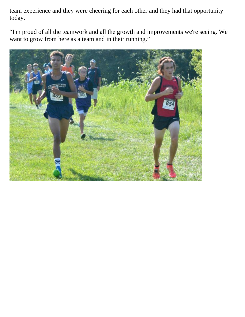team experience and they were cheering for each other and they had that opportunity today.

"I'm proud of all the teamwork and all the growth and improvements we're seeing. We want to grow from here as a team and in their running."

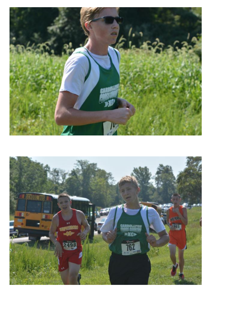

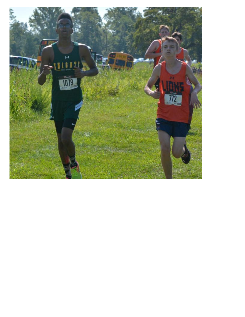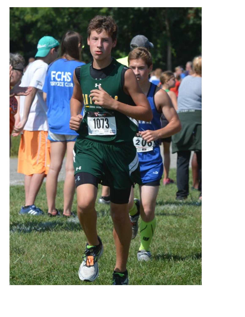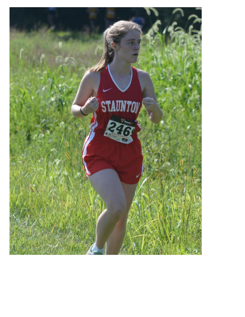